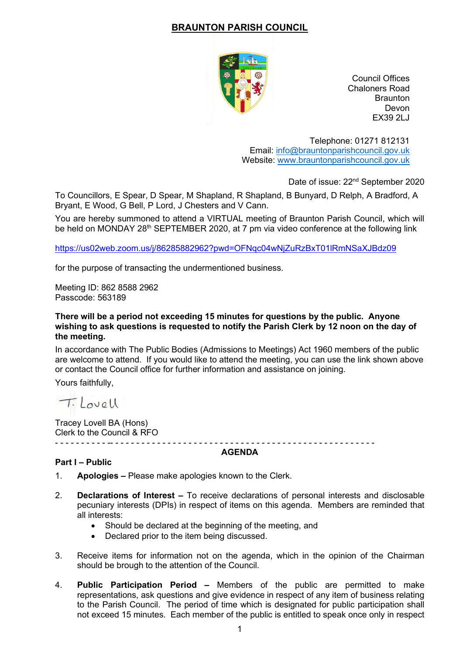# **BRAUNTON PARISH COUNCIL**



Council Offices Chaloners Road **Braunton** Devon EX39 2LJ

Telephone: 01271 812131 Email: [info@brauntonparishcouncil.gov.uk](mailto:info@brauntonparishcouncil.gov.uk) Website: [www.brauntonparishcouncil.gov.uk](http://www.brauntonparishcouncil.gov.uk/)

Date of issue: 22<sup>nd</sup> September 2020

To Councillors, E Spear, D Spear, M Shapland, R Shapland, B Bunyard, D Relph, A Bradford, A Bryant, E Wood, G Bell, P Lord, J Chesters and V Cann.

You are hereby summoned to attend a VIRTUAL meeting of Braunton Parish Council, which will be held on MONDAY 28<sup>th</sup> SEPTEMBER 2020, at 7 pm via video conference at the following link

<https://us02web.zoom.us/j/86285882962?pwd=OFNqc04wNjZuRzBxT01lRmNSaXJBdz09>

for the purpose of transacting the undermentioned business.

Meeting ID: 862 8588 2962 Passcode: 563189

#### **There will be a period not exceeding 15 minutes for questions by the public. Anyone wishing to ask questions is requested to notify the Parish Clerk by 12 noon on the day of the meeting.**

In accordance with The Public Bodies (Admissions to Meetings) Act 1960 members of the public are welcome to attend. If you would like to attend the meeting, you can use the link shown above or contact the Council office for further information and assistance on joining.

Yours faithfully,

T. Lovell

Tracey Lovell BA (Hons) Clerk to the Council & RFO - - - - - - - - - - -- - - - - - - - - - - - - - - - - - - - - - - - - - - - - - - - - - - - - - - - - - - - - - - - - - -

#### **AGENDA**

### **Part I – Public**

- 1. **Apologies –** Please make apologies known to the Clerk.
- 2. **Declarations of Interest –** To receive declarations of personal interests and disclosable pecuniary interests (DPIs) in respect of items on this agenda. Members are reminded that all interests:
	- Should be declared at the beginning of the meeting, and
	- Declared prior to the item being discussed.
- 3. Receive items for information not on the agenda, which in the opinion of the Chairman should be brough to the attention of the Council.
- 4. **Public Participation Period –** Members of the public are permitted to make representations, ask questions and give evidence in respect of any item of business relating to the Parish Council. The period of time which is designated for public participation shall not exceed 15 minutes. Each member of the public is entitled to speak once only in respect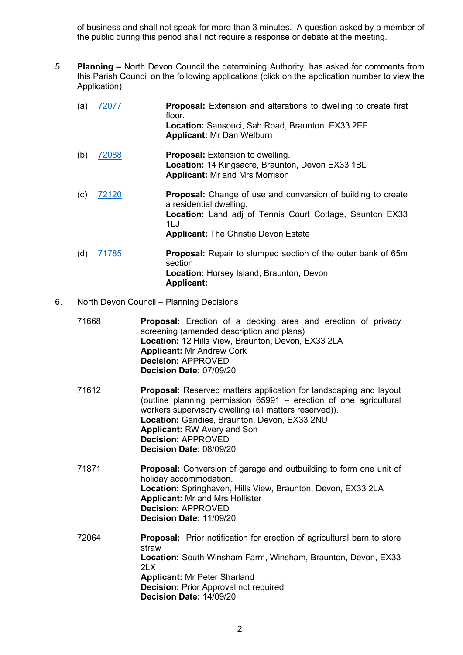of business and shall not speak for more than 3 minutes. A question asked by a member of the public during this period shall not require a response or debate at the meeting.

5. **Planning –** North Devon Council the determining Authority, has asked for comments from this Parish Council on the following applications (click on the application number to view the Application):

| (a) | 72077 | <b>Proposal:</b> Extension and alterations to dwelling to create first<br>floor.<br>Location: Sansouci, Sah Road, Braunton. EX33 2EF<br><b>Applicant: Mr Dan Welburn</b>                                                 |
|-----|-------|--------------------------------------------------------------------------------------------------------------------------------------------------------------------------------------------------------------------------|
| (b) | 72088 | <b>Proposal:</b> Extension to dwelling.<br>Location: 14 Kingsacre, Braunton, Devon EX33 1BL<br><b>Applicant: Mr and Mrs Morrison</b>                                                                                     |
| (c) | 72120 | <b>Proposal:</b> Change of use and conversion of building to create<br>a residential dwelling.<br><b>Location:</b> Land adj of Tennis Court Cottage, Saunton EX33<br>1L.J<br><b>Applicant: The Christie Devon Estate</b> |
| (d) | 71785 | <b>Proposal:</b> Repair to slumped section of the outer bank of 65m<br>section<br>Location: Horsey Island, Braunton, Devon<br><b>Applicant:</b>                                                                          |

### 6. North Devon Council – Planning Decisions

| 71668 | Proposal: Erection of a decking area and erection of privacy<br>screening (amended description and plans)<br>Location: 12 Hills View, Braunton, Devon, EX33 2LA<br><b>Applicant: Mr Andrew Cork</b><br><b>Decision: APPROVED</b><br>Decision Date: 07/09/20                                                                                          |
|-------|------------------------------------------------------------------------------------------------------------------------------------------------------------------------------------------------------------------------------------------------------------------------------------------------------------------------------------------------------|
| 71612 | <b>Proposal:</b> Reserved matters application for landscaping and layout<br>(outline planning permission 65991 – erection of one agricultural<br>workers supervisory dwelling (all matters reserved)).<br>Location: Gandies, Braunton, Devon, EX33 2NU<br><b>Applicant: RW Avery and Son</b><br><b>Decision: APPROVED</b><br>Decision Date: 08/09/20 |
| 71871 | <b>Proposal:</b> Conversion of garage and outbuilding to form one unit of<br>holiday accommodation.<br>Location: Springhaven, Hills View, Braunton, Devon, EX33 2LA<br><b>Applicant: Mr and Mrs Hollister</b><br><b>Decision: APPROVED</b><br>Decision Date: 11/09/20                                                                                |
| 72064 | Proposal: Prior notification for erection of agricultural barn to store<br>straw<br>Location: South Winsham Farm, Winsham, Braunton, Devon, EX33<br>2LX<br><b>Applicant: Mr Peter Sharland</b><br><b>Decision: Prior Approval not required</b><br>Decision Date: 14/09/20                                                                            |